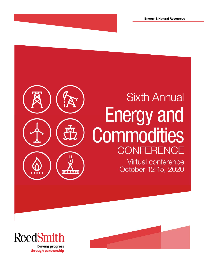# **Sixth Annual Energy and** Commodities **CONFERENCE** Virtual conference October 12-15, 2020  $00000$



through partnership

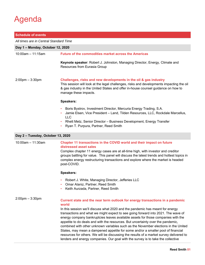# Agenda

| <b>Schedule of events</b>              |                                                                                                                                                                                                                                                                                                                                                                       |  |
|----------------------------------------|-----------------------------------------------------------------------------------------------------------------------------------------------------------------------------------------------------------------------------------------------------------------------------------------------------------------------------------------------------------------------|--|
| All times are in Central Standard Time |                                                                                                                                                                                                                                                                                                                                                                       |  |
| Day 1 - Monday, October 12, 2020       |                                                                                                                                                                                                                                                                                                                                                                       |  |
| $10:00$ am - 11:15am                   | <b>Future of the commodities market across the Americas</b>                                                                                                                                                                                                                                                                                                           |  |
|                                        | Keynote speaker: Robert J. Johnston, Managing Director, Energy, Climate and<br>Resources from Eurasia Group                                                                                                                                                                                                                                                           |  |
| $2:00 \text{pm} - 3:30 \text{pm}$      | Challenges, risks and new developments in the oil & gas industry<br>This session will look at the legal challenges, risks and developments impacting the oil<br>& gas industry in the United States and offer in-house counsel guidance on how to<br>manage these impacts.                                                                                            |  |
|                                        | Speakers:                                                                                                                                                                                                                                                                                                                                                             |  |
|                                        | Boris Bystrov, Investment Director, Mercuria Energy Trading, S.A.<br>$\bullet$<br>Jamie Elsen, Vice President - Land, Tilden Resources, LLC, Rockdale Marcellus,<br><b>LLC</b><br>Rhett Metz, Senior Director - Business Development, Energy Transfer<br>٠<br>Ryan T. Purpura, Partner, Reed Smith<br>$\bullet$                                                       |  |
| Day 2 - Tuesday, October 13, 2020      |                                                                                                                                                                                                                                                                                                                                                                       |  |
| $10:00$ am - 11:30am                   | Chapter 11 transactions in the COVID world and their impact on future<br>distressed asset sales<br>Complex chapter 11 energy cases are at all-time high, with investor and creditor<br>groups battling for value. This panel will discuss the latest trends and hottest topics in<br>complex energy restructuring transactions and explore where the market is headed |  |

**Speakers:**

post-COVID.

- Robert J. White, Managing Director, Jefferies LLC
- Omar Alaniz, Partner, Reed Smith
- Keith Aurzada, Partner, Reed Smith

### 2:00pm – 3:30pm **Current state and the near term outlook for energy transactions in a pandemic world**  In this session we'll discuss what 2020 and the pandemic has meant for energy transactions and what we might expect to see going forward into 2021. The wave of energy company bankruptcies leaves available assets for those companies with the appetite to do deals and with the resources. But uncertainty over the pandemic, combined with other unknown variables such as the November elections in the United States, may mean a dampened appetite for some and/or a smaller pool of financial resources for others. We will be discussing the results of a market survey delivered to

lenders and energy companies. Our goal with the survey is to take the collective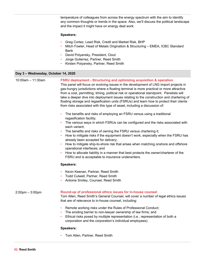temperature of colleagues from across the energy spectrum with the aim to identify any common thoughts or trends in the space. Also, we'll discuss the political landscape and the impact it might have on energy deal work.

#### **Speakers:**

- Greg Cortez, Lead Risk, Credit and Market Risk, BHP
- Mitch Fowler, Head of Metals Origination & Structuring EMEA, ICBC Standard Bank
- David Polyansky, President, Clout
- Jorge Gutierrez, Partner, Reed Smith
- Kirsten Polyansky, Partner, Reed Smith

#### **Day 3 – Wednesday, October 14, 2020**

### 10:00am – 11:30am 2:00pm – 3:00pm **FSRU deployment - Structuring and optimizing acquisition & operation**  This panel will focus on evolving issues in the development of LNG import projects in gas-hungry jurisdictions where a floating terminal is more practical or more attractive from a cost, permitting, timing, political risk or operational standpoint. Panelists will take a deeper dive into deployment issues relating to the construction and chartering of floating storage and regasification units (FSRUs) and learn how to protect their clients from risks associated with this type of asset, including a discussion of: The benefits and risks of employing an FSRU versus using a traditional regasification facility; • The various ways in which FSRUs can be configured and the risks associated with each variant; The benefits and risks of owning the FSRU versus chartering it; • How to mitigate risks if the equipment doesn't work, especially when the FSRU has already been accepted for delivery; • How to mitigate ship-to-shore risk that arises when matching onshore and offshore operational interfaces; and • How to allocate liability in a manner that best protects the owner/charterer of the FSRU and is acceptable to insurance underwriters. **Speakers:** • Kevin Keenan, Partner, Reed Smith • Todd Culwell, Partner, Reed Smith • Antoine Smiley, Counsel, Reed Smith **Round-up of professional ethics issues for in-house counsel**  Tom Allen, Reed Smith's General Counsel, will cover a number of legal ethics issues that are of relevance to in-house counsel, including: • Remote working risks under the Rules of Professional Conduct; The eroding barrier to non-lawyer ownership of law firms; and • Ethical risks posed by multiple representation (i.e., representation of both a corporation and the corporation's individual employees). **Speakers:** • Tom Allen, Partner, Reed Smith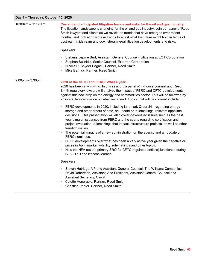### **Day 4 – Thursday, October 15, 2020**

÷

| Day 4 - Thursday, October 15, 2020 |                                                                                                                                                                                                                                                                                                                                                                                                                                                                                                                                                                                                                                                                                                                                                                                                                        |
|------------------------------------|------------------------------------------------------------------------------------------------------------------------------------------------------------------------------------------------------------------------------------------------------------------------------------------------------------------------------------------------------------------------------------------------------------------------------------------------------------------------------------------------------------------------------------------------------------------------------------------------------------------------------------------------------------------------------------------------------------------------------------------------------------------------------------------------------------------------|
| $10:00$ am - 11:30am               | Current and anticipated litigation trends and risks for the oil and gas industry<br>The litigation landscape is changing for the oil and gas industry. Join our panel of Reed<br>Smith lawyers and clients as we revisit the trends that have emerged over recent<br>months, and look at how these trends forecast what the future might hold in terms of<br>upstream, midstream and downstream legal litigation developments and risks.                                                                                                                                                                                                                                                                                                                                                                               |
|                                    | Speakers:                                                                                                                                                                                                                                                                                                                                                                                                                                                                                                                                                                                                                                                                                                                                                                                                              |
|                                    | Stefanie Lepore Burt, Assistant General Counsel - Litigation at EQT Corporation<br>Stephan Selinidis, Senior Counsel, Exterran Corporation<br>Nicolle R. Snyder Bagnell, Partner, Reed Smith<br>Mike Bernick, Partner, Reed Smith                                                                                                                                                                                                                                                                                                                                                                                                                                                                                                                                                                                      |
| $2:00$ pm $-3:30$ pm               | 2020 at the CFTC and FERC: What a year!<br>2020 has been a whirlwind. In this session, a panel of in-house counsel and Reed<br>Smith regulatory lawyers will analyze the impact of FERC and CFTC developments<br>against this backdrop on the energy and commodities sector. This will be followed by<br>an interactive discussion on what lies ahead. Topics that will be covered include:                                                                                                                                                                                                                                                                                                                                                                                                                            |
|                                    | FERC developments in 2020, including landmark Order 841 regarding energy<br>storage and other orders of note, an update on rulemakings, relevant appellate<br>decisions. This presentation will also cover gas-related issues such as the past<br>year's major issuances from FERC and the courts regarding certification and<br>project evaluation, rulemakings that impact infrastructure projects, as well as other<br>trending issues.<br>The potential impacts of a new administration on the agency and an update on<br>FERC nominees.<br>CFTC developments over what has been a very active year given the negative oil<br>prices in April, market volatility, rulemakings and other topics.<br>How the NFA (as the primary SRO for CFTC-regulated entities) functioned during<br>COVID-19 and lessons learned. |
|                                    | Speakers:                                                                                                                                                                                                                                                                                                                                                                                                                                                                                                                                                                                                                                                                                                                                                                                                              |
|                                    | Steven Hatridge, VP and Assistant General Counsel, The Williams Companies<br>David Robertson, Assistant Vice President, Assistant General Counsel and<br>Assistant Secretary, Cargill                                                                                                                                                                                                                                                                                                                                                                                                                                                                                                                                                                                                                                  |

- Colette Honorable, Partner, Reed Smith
- Christine Parker, Partner, Reed Smith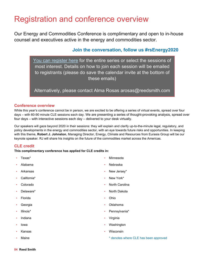# Registration and conference overview

Our Energy and Commodities Conference is complimentary and open to in-house counsel and executives active in the energy and commodities sector.

### **Join the conversation, follow us #rsEnergy2020**

[You can register here f](https://event.on24.com/eventRegistration/EventLobbyServlet?target=reg20.jsp&referrer=&eventid=2662516&sessionid=1&key=127F7970E36F5B0BCCF7ED59C71E22FD®Tag=1549112&sourcepage=register)or the entire series or select the sessions of most interest. Details on how to join each session will be emailed to registrants (please do save the calendar invite at the bottom of these emails)

Alternatively, please contact Alma Rosas arosas@reedsmith.com

### **Conference overview**

While this year's conference cannot be in person, we are excited to be offering a series of virtual events, spread over four days – with 60-90 minute CLE sessions each day. We are presenting a series of thought-provoking analysis, spread over four days – with interactive sessions each day – delivered to your desk virtually.

Our speakers will gaze beyond 2020 in their sessions: they will explain and clarify up-to-the-minute legal, regulatory, and policy developments in the energy and commodities sector, with an eye towards future risks and opportunities. In keeping with this theme, **Robert J. Johnston**, Managing Director, Energy, Climate and Resources from Eurasia Group will be our keynote speaker. RJ will share his insights on the future of the commodities market across the Americas.

### **CLE credit**

**This complimentary conference has applied for CLE credits in:** 

- Texas\* • Alabama • Arkansas • California\* • Colorado • Delaware\* • Florida **Georgia** • Illinois\* • Indiana • Iowa • Kansas **Minnesota** • Nebraska New Jersey\* New York\* • North Carolina • North Dakota • Ohio • Oklahoma • Pennsylvania\* • Virginia **Washington** • Wisconsin
	- \* denotes where CLE has been approved

• Maine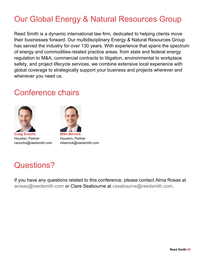# Our Global Energy & Natural Resources Group

Reed Smith is a dynamic international law firm, dedicated to helping clients move their businesses forward. Our multidisciplinary Energy & Natural Resources Group has served the industry for over 130 years. With experience that spans the spectrum of energy and commodities-related practice areas, from state and federal energy regulation to M&A, commercial contracts to litigation, environmental to workplace safety, and project lifecycle services, we combine extensive local experience with global coverage to strategically support your business and projects wherever and whenever you need us.

# Conference chairs



**Craig Enochs**  Houston, Partner cenochs@reedsmith.com



Houston, Partner mbernick@reedsmith.com

# Questions?

If you have any questions related to this conference, please contact Alma Rosas at arosas@reedsmith.com or Clare Seabourne at cseabourne@reedsmith.com.